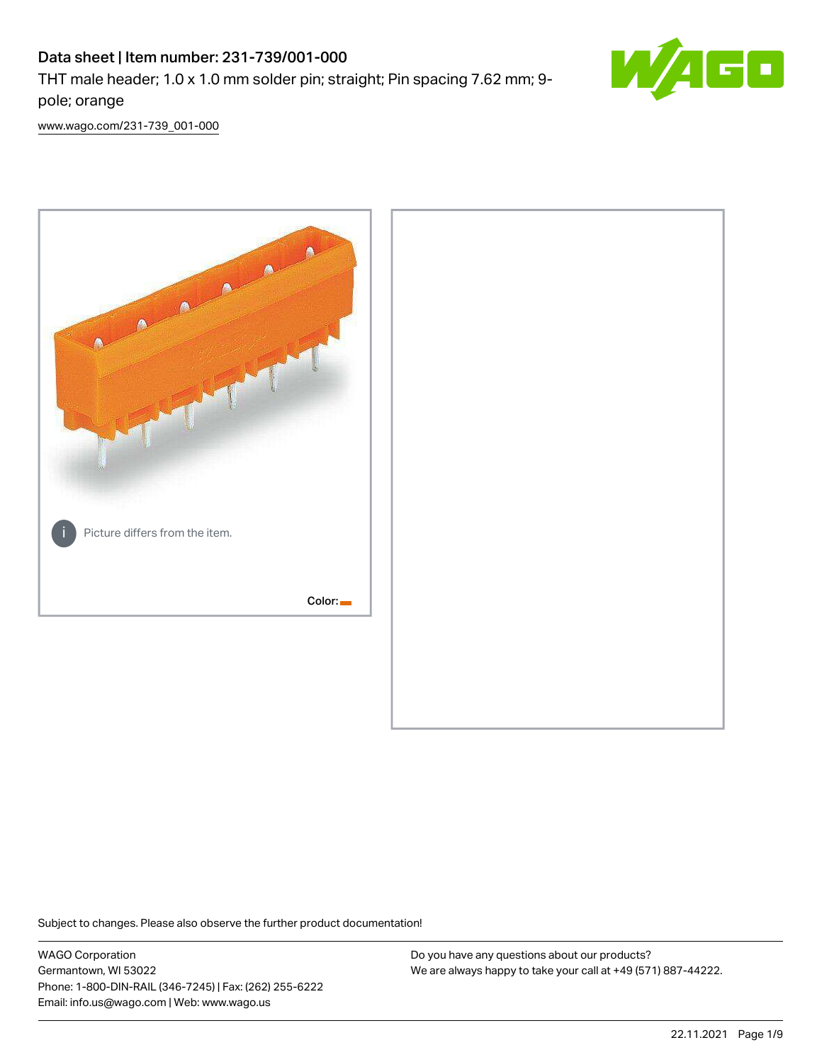# Data sheet | Item number: 231-739/001-000

THT male header; 1.0 x 1.0 mm solder pin; straight; Pin spacing 7.62 mm; 9 pole; orange



[www.wago.com/231-739\\_001-000](http://www.wago.com/231-739_001-000)



Subject to changes. Please also observe the further product documentation!

WAGO Corporation Germantown, WI 53022 Phone: 1-800-DIN-RAIL (346-7245) | Fax: (262) 255-6222 Email: info.us@wago.com | Web: www.wago.us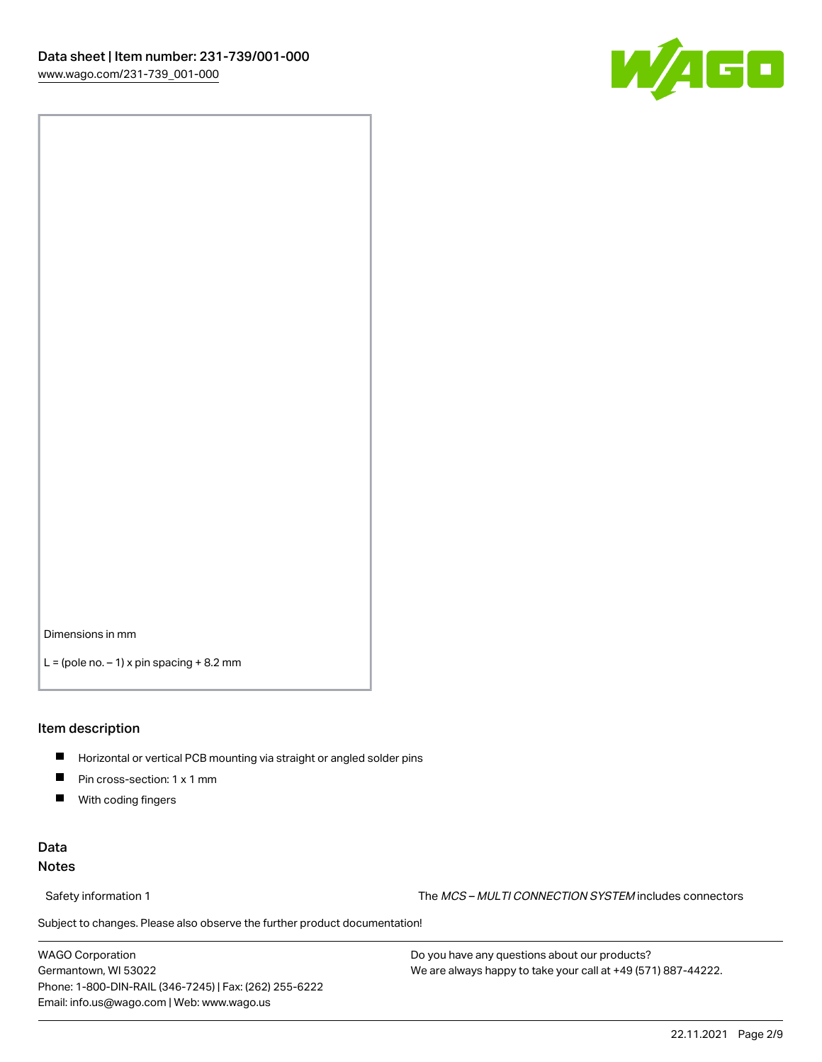

Dimensions in mm

 $L =$  (pole no.  $-1$ ) x pin spacing  $+8.2$  mm

### Item description

- **Horizontal or vertical PCB mounting via straight or angled solder pins**
- **Pin cross-section: 1 x 1 mm**
- $\blacksquare$ With coding fingers

## Data Notes

Safety information 1 The MCS – MULTI CONNECTION SYSTEM includes connectors

Subject to changes. Please also observe the further product documentation!  $\nu$ 

WAGO Corporation Germantown, WI 53022 Phone: 1-800-DIN-RAIL (346-7245) | Fax: (262) 255-6222 Email: info.us@wago.com | Web: www.wago.us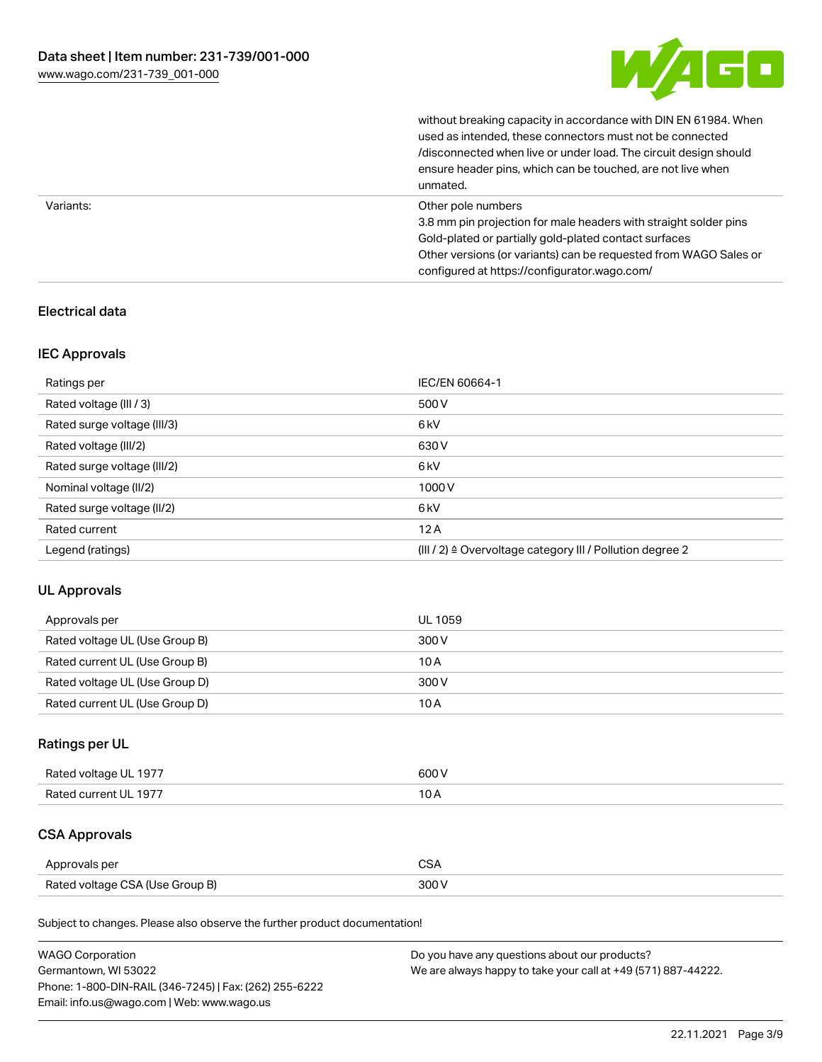

without breaking capacity in accordance with DIN EN 61984. When

|           | used as intended, these connectors must not be connected<br>/disconnected when live or under load. The circuit design should<br>ensure header pins, which can be touched, are not live when<br>unmated.                                                             |
|-----------|---------------------------------------------------------------------------------------------------------------------------------------------------------------------------------------------------------------------------------------------------------------------|
| Variants: | Other pole numbers<br>3.8 mm pin projection for male headers with straight solder pins<br>Gold-plated or partially gold-plated contact surfaces<br>Other versions (or variants) can be requested from WAGO Sales or<br>configured at https://configurator.wago.com/ |

## Electrical data

## IEC Approvals

| Ratings per                 | IEC/EN 60664-1                                                        |
|-----------------------------|-----------------------------------------------------------------------|
| Rated voltage (III / 3)     | 500 V                                                                 |
| Rated surge voltage (III/3) | 6 <sub>kV</sub>                                                       |
| Rated voltage (III/2)       | 630 V                                                                 |
| Rated surge voltage (III/2) | 6 <sub>kV</sub>                                                       |
| Nominal voltage (II/2)      | 1000V                                                                 |
| Rated surge voltage (II/2)  | 6 <sub>kV</sub>                                                       |
| Rated current               | 12A                                                                   |
| Legend (ratings)            | $(III / 2)$ $\triangle$ Overvoltage category III / Pollution degree 2 |

## UL Approvals

| Approvals per                  | UL 1059 |
|--------------------------------|---------|
| Rated voltage UL (Use Group B) | 300 V   |
| Rated current UL (Use Group B) | 10 A    |
| Rated voltage UL (Use Group D) | 300 V   |
| Rated current UL (Use Group D) | 10 A    |

## Ratings per UL

| Rated voltage UL 1977 | 600V   |
|-----------------------|--------|
| Rated current UL 1977 | $\sim$ |

# CSA Approvals

| Approvals per                   | $\sim$ |
|---------------------------------|--------|
| Rated voltage CSA (Use Group B) | 300 V  |

Subject to changes. Please also observe the further product documentation!

| <b>WAGO Corporation</b>                                | Do you have any questions about our products?                 |
|--------------------------------------------------------|---------------------------------------------------------------|
| Germantown, WI 53022                                   | We are always happy to take your call at +49 (571) 887-44222. |
| Phone: 1-800-DIN-RAIL (346-7245)   Fax: (262) 255-6222 |                                                               |
| Email: info.us@wago.com   Web: www.wago.us             |                                                               |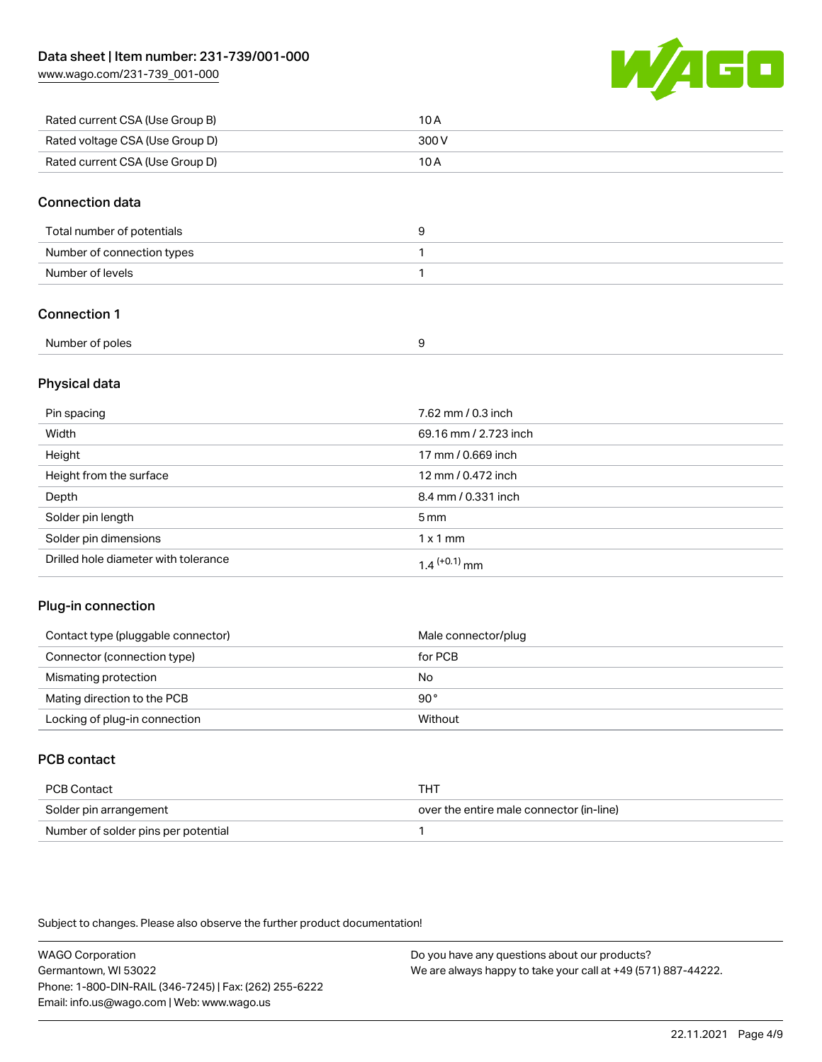[www.wago.com/231-739\\_001-000](http://www.wago.com/231-739_001-000)



| Rated current CSA (Use Group B) | 10 A  |
|---------------------------------|-------|
| Rated voltage CSA (Use Group D) | 300 V |
| Rated current CSA (Use Group D) | 10 A  |

### Connection data

| Total number of potentials |  |
|----------------------------|--|
| Number of connection types |  |
| Number of levels           |  |

## Connection 1

| Number of poles |  |
|-----------------|--|
|                 |  |

## Physical data

| Pin spacing                          | 7.62 mm / 0.3 inch    |
|--------------------------------------|-----------------------|
| Width                                | 69.16 mm / 2.723 inch |
| Height                               | 17 mm / 0.669 inch    |
| Height from the surface              | 12 mm / 0.472 inch    |
| Depth                                | 8.4 mm / 0.331 inch   |
| Solder pin length                    | $5 \,\mathrm{mm}$     |
| Solder pin dimensions                | $1 \times 1$ mm       |
| Drilled hole diameter with tolerance | $1.4$ $(+0.1)$ mm     |

## Plug-in connection

| Contact type (pluggable connector) | Male connector/plug |
|------------------------------------|---------------------|
| Connector (connection type)        | for PCB             |
| Mismating protection               | No                  |
| Mating direction to the PCB        | 90°                 |
| Locking of plug-in connection      | Without             |

## PCB contact

| PCB Contact                         | тнт                                      |
|-------------------------------------|------------------------------------------|
| Solder pin arrangement              | over the entire male connector (in-line) |
| Number of solder pins per potential |                                          |

Subject to changes. Please also observe the further product documentation!

WAGO Corporation Germantown, WI 53022 Phone: 1-800-DIN-RAIL (346-7245) | Fax: (262) 255-6222 Email: info.us@wago.com | Web: www.wago.us Do you have any questions about our products? We are always happy to take your call at +49 (571) 887-44222.

22.11.2021 Page 4/9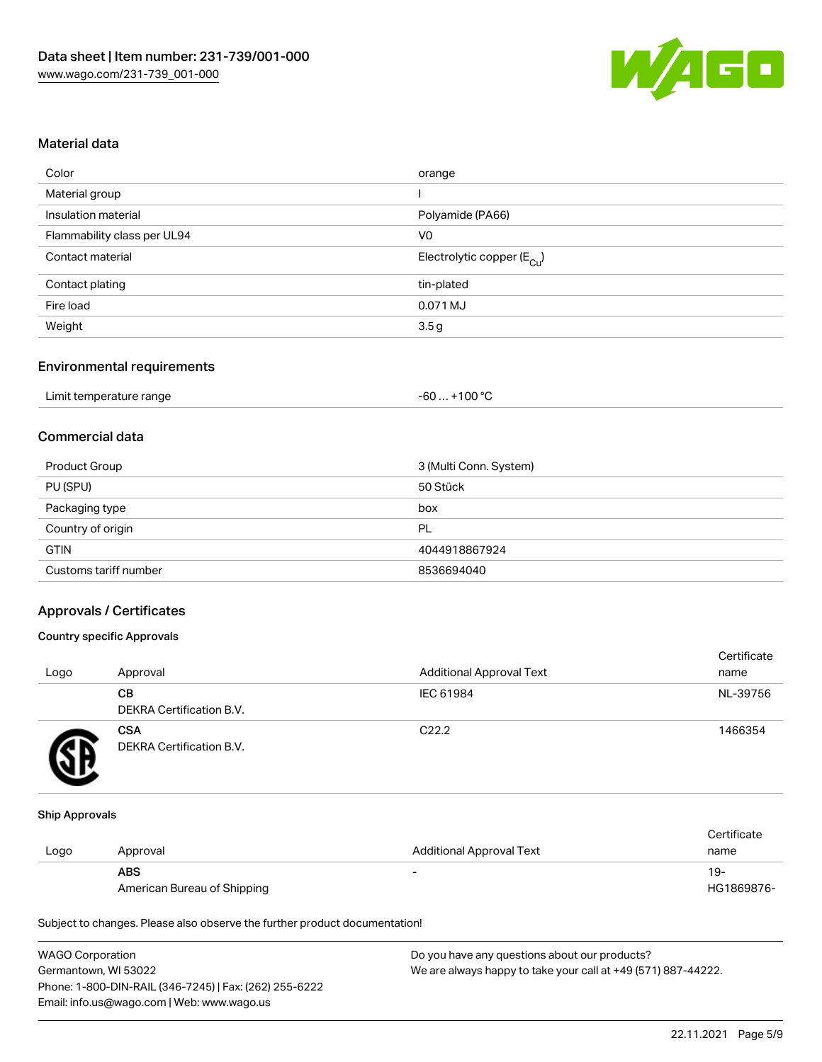

## Material data

| Color                       | orange                                 |
|-----------------------------|----------------------------------------|
| Material group              |                                        |
| Insulation material         | Polyamide (PA66)                       |
| Flammability class per UL94 | V0                                     |
| Contact material            | Electrolytic copper (E <sub>Cu</sub> ) |
| Contact plating             | tin-plated                             |
| Fire load                   | 0.071 MJ                               |
| Weight                      | 3.5g                                   |
|                             |                                        |

## Environmental requirements

| Limit temperature range | $+100 °C$<br>-60 |
|-------------------------|------------------|
|-------------------------|------------------|

## Commercial data

| Product Group         | 3 (Multi Conn. System) |
|-----------------------|------------------------|
| PU (SPU)              | 50 Stück               |
| Packaging type        | box                    |
| Country of origin     | PL                     |
| <b>GTIN</b>           | 4044918867924          |
| Customs tariff number | 8536694040             |

#### Approvals / Certificates

#### Country specific Approvals

| Logo | Approval                               | <b>Additional Approval Text</b> | Certificate<br>name |
|------|----------------------------------------|---------------------------------|---------------------|
|      | CВ<br><b>DEKRA Certification B.V.</b>  | IEC 61984                       | NL-39756            |
|      | <b>CSA</b><br>DEKRA Certification B.V. | C <sub>22.2</sub>               | 1466354             |

#### Ship Approvals

|      |                             |                          | Certificate |
|------|-----------------------------|--------------------------|-------------|
| Logo | Approval                    | Additional Approval Text | name        |
|      | <b>ABS</b>                  |                          | 19-         |
|      | American Bureau of Shipping |                          | HG1869876-  |

Subject to changes. Please also observe the further product documentation!

| <b>WAGO Corporation</b>                                | Do you have any questions about our products?                 |
|--------------------------------------------------------|---------------------------------------------------------------|
| Germantown, WI 53022                                   | We are always happy to take your call at +49 (571) 887-44222. |
| Phone: 1-800-DIN-RAIL (346-7245)   Fax: (262) 255-6222 |                                                               |
| Email: info.us@wago.com   Web: www.wago.us             |                                                               |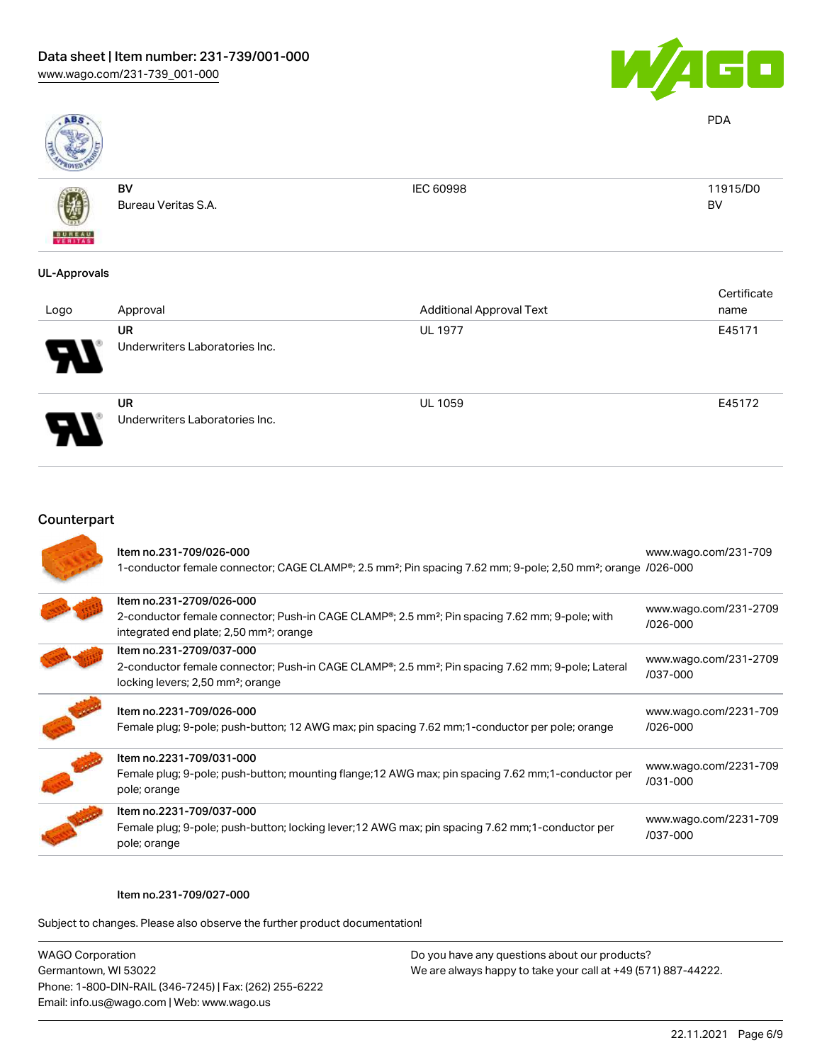

PDA

BV



BV Bureau Veritas S.A. IEC 60998 11915/D0

## UL-Approvals

| Logo | Approval                                    | <b>Additional Approval Text</b> | Certificate<br>name |
|------|---------------------------------------------|---------------------------------|---------------------|
| Я.   | <b>UR</b><br>Underwriters Laboratories Inc. | <b>UL 1977</b>                  | E45171              |
|      | <b>UR</b><br>Underwriters Laboratories Inc. | <b>UL 1059</b>                  | E45172              |

| Item no.231-709/026-000<br>1-conductor female connector; CAGE CLAMP <sup>®</sup> ; 2.5 mm <sup>2</sup> ; Pin spacing 7.62 mm; 9-pole; 2,50 mm <sup>2</sup> ; orange /026-000                            | www.wago.com/231-709              |
|---------------------------------------------------------------------------------------------------------------------------------------------------------------------------------------------------------|-----------------------------------|
| Item no.231-2709/026-000<br>2-conductor female connector; Push-in CAGE CLAMP®; 2.5 mm <sup>2</sup> ; Pin spacing 7.62 mm; 9-pole; with<br>integrated end plate; 2,50 mm <sup>2</sup> ; orange           | www.wago.com/231-2709<br>/026-000 |
| Item no.231-2709/037-000<br>2-conductor female connector; Push-in CAGE CLAMP <sup>®</sup> ; 2.5 mm <sup>2</sup> ; Pin spacing 7.62 mm; 9-pole; Lateral<br>locking levers; 2,50 mm <sup>2</sup> ; orange | www.wago.com/231-2709<br>/037-000 |
| Item no.2231-709/026-000<br>Female plug; 9-pole; push-button; 12 AWG max; pin spacing 7.62 mm; 1-conductor per pole; orange                                                                             | www.wago.com/2231-709<br>/026-000 |
| Item no.2231-709/031-000<br>Female plug; 9-pole; push-button; mounting flange; 12 AWG max; pin spacing 7.62 mm; 1-conductor per<br>pole; orange                                                         | www.wago.com/2231-709<br>/031-000 |
| Item no.2231-709/037-000<br>Female plug; 9-pole; push-button; locking lever; 12 AWG max; pin spacing 7.62 mm; 1-conductor per<br>pole; orange                                                           | www.wago.com/2231-709<br>/037-000 |

#### Item no.231-709/027-000

Subject to changes. Please also observe the further product documentation!

WAGO Corporation Germantown, WI 53022 Phone: 1-800-DIN-RAIL (346-7245) | Fax: (262) 255-6222 Email: info.us@wago.com | Web: www.wago.us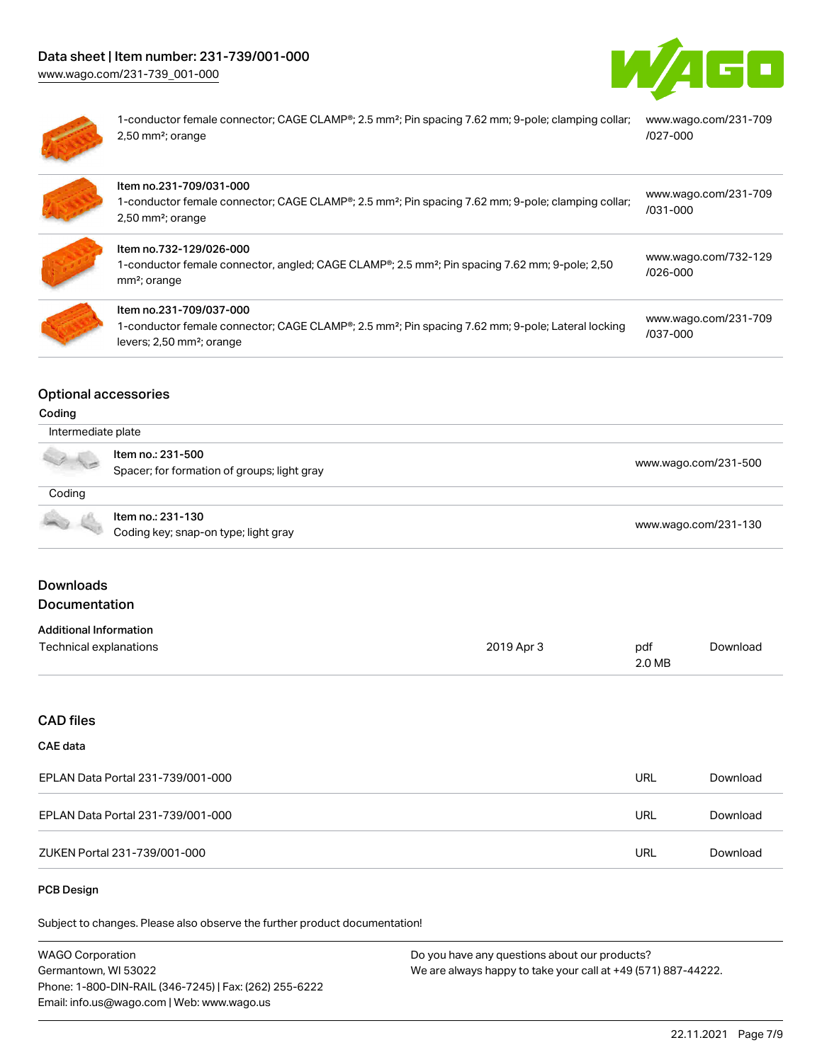



1-conductor female connector; CAGE CLAMP®; 2.5 mm²; Pin spacing 7.62 mm; 9-pole; clamping collar; [www.wago.com/231-709](https://www.wago.com/231-709/027-000) 2,50 mm²; orange [/027-000](https://www.wago.com/231-709/027-000)

| Item no.231-709/031-000<br>1-conductor female connector; CAGE CLAMP®; 2.5 mm <sup>2</sup> ; Pin spacing 7.62 mm; 9-pole; clamping collar;<br>$2,50$ mm <sup>2</sup> ; orange                   | www.wago.com/231-709<br>$/031 - 000$ |
|------------------------------------------------------------------------------------------------------------------------------------------------------------------------------------------------|--------------------------------------|
| Item no.732-129/026-000<br>1-conductor female connector, angled; CAGE CLAMP <sup>®</sup> ; 2.5 mm <sup>2</sup> ; Pin spacing 7.62 mm; 9-pole; 2,50<br>mm <sup>2</sup> ; orange                 | www.wago.com/732-129<br>$/026 - 000$ |
| Item no.231-709/037-000<br>1-conductor female connector; CAGE CLAMP <sup>®</sup> ; 2.5 mm <sup>2</sup> ; Pin spacing 7.62 mm; 9-pole; Lateral locking<br>levers; 2,50 mm <sup>2</sup> ; orange | www.wago.com/231-709<br>/037-000     |

## Optional accessories

#### Coding

| Intermediate plate |                                                                  |                      |
|--------------------|------------------------------------------------------------------|----------------------|
|                    | Item no.: 231-500<br>Spacer; for formation of groups; light gray | www.wago.com/231-500 |
| Coding             |                                                                  |                      |
|                    | Item no.: 231-130<br>Coding key; snap-on type; light gray        | www.wago.com/231-130 |

## Downloads Documentation

### Additional Information

| Auuluvilai IIII viiliauvil |            |        |          |
|----------------------------|------------|--------|----------|
| Technical explanations     | 2019 Apr 3 | pdf    | Download |
|                            |            | 2.0 MB |          |

## CAD files

# CAE data

| EPLAN Data Portal 231-739/001-000 | URL | Download |
|-----------------------------------|-----|----------|
| EPLAN Data Portal 231-739/001-000 | URL | Download |
| ZUKEN Portal 231-739/001-000      | URL | Download |

#### PCB Design

Subject to changes. Please also observe the further product documentation!

| <b>WAGO Corporation</b>                                | Do you have any questions about our products?                 |
|--------------------------------------------------------|---------------------------------------------------------------|
| Germantown, WI 53022                                   | We are always happy to take your call at +49 (571) 887-44222. |
| Phone: 1-800-DIN-RAIL (346-7245)   Fax: (262) 255-6222 |                                                               |
| Email: info.us@wago.com   Web: www.wago.us             |                                                               |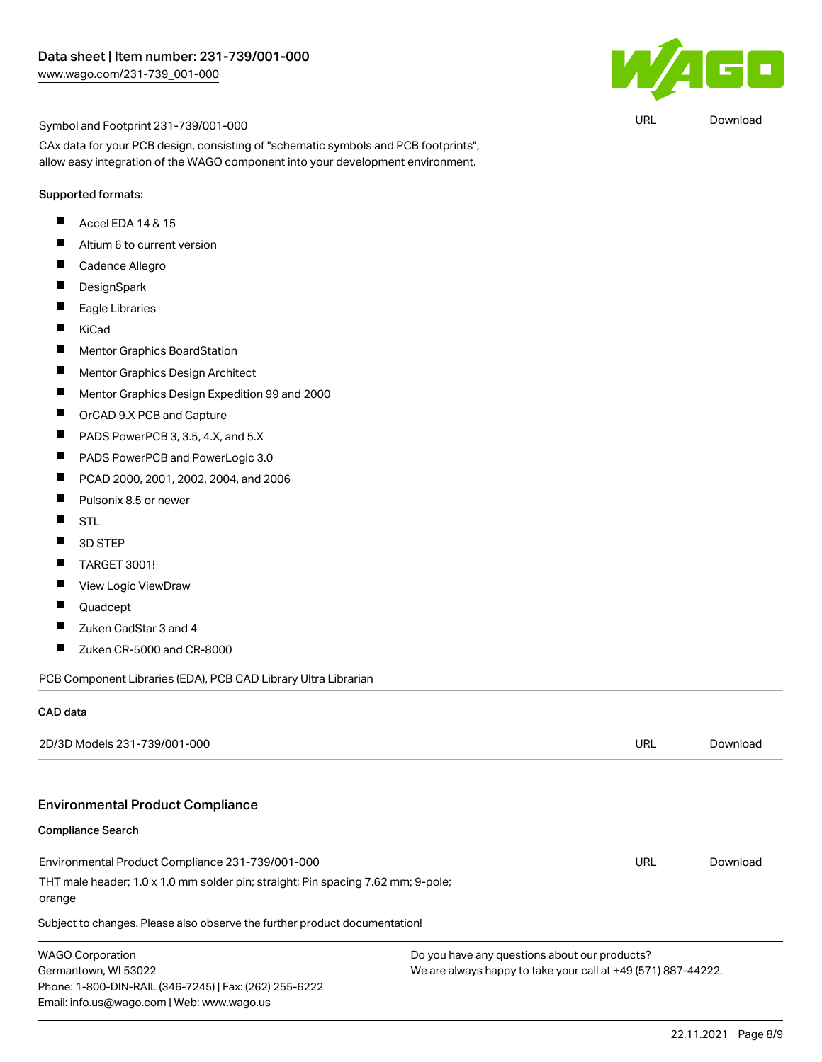

URL [Download](https://www.wago.com/global/d/UltraLibrarian_URLS_231-739_001-000)

Symbol and Footprint 231-739/001-000

CAx data for your PCB design, consisting of "schematic symbols and PCB footprints", allow easy integration of the WAGO component into your development environment.

#### Supported formats:

- Accel EDA 14 & 15  $\blacksquare$
- $\blacksquare$ Altium 6 to current version
- П Cadence Allegro
- П DesignSpark
- $\blacksquare$ Eagle Libraries
- KiCad  $\blacksquare$
- П Mentor Graphics BoardStation
- П Mentor Graphics Design Architect
- П Mentor Graphics Design Expedition 99 and 2000
- $\blacksquare$ OrCAD 9.X PCB and Capture
- $\blacksquare$ PADS PowerPCB 3, 3.5, 4.X, and 5.X
- П PADS PowerPCB and PowerLogic 3.0
- $\blacksquare$ PCAD 2000, 2001, 2002, 2004, and 2006
- П Pulsonix 8.5 or newer
- $\blacksquare$ **STL**
- $\blacksquare$ 3D STEP
- $\blacksquare$ TARGET 3001!
- П View Logic ViewDraw
- $\blacksquare$ Quadcept
- $\blacksquare$ Zuken CadStar 3 and 4
- Zuken CR-5000 and CR-8000  $\blacksquare$

PCB Component Libraries (EDA), PCB CAD Library Ultra Librarian

#### CAD data

| 2D/3D Models 231-739/001-000                                                                                                                            |                                                                                                                | URL | Download |
|---------------------------------------------------------------------------------------------------------------------------------------------------------|----------------------------------------------------------------------------------------------------------------|-----|----------|
| <b>Environmental Product Compliance</b>                                                                                                                 |                                                                                                                |     |          |
| <b>Compliance Search</b>                                                                                                                                |                                                                                                                |     |          |
| Environmental Product Compliance 231-739/001-000                                                                                                        |                                                                                                                | URL | Download |
| THT male header; 1.0 x 1.0 mm solder pin; straight; Pin spacing 7.62 mm; 9-pole;<br>orange                                                              |                                                                                                                |     |          |
| Subject to changes. Please also observe the further product documentation!                                                                              |                                                                                                                |     |          |
| <b>WAGO Corporation</b><br>Germantown, WI 53022<br>Phone: 1-800-DIN-RAIL (346-7245)   Fax: (262) 255-6222<br>Email: info.us@wago.com   Web: www.wago.us | Do you have any questions about our products?<br>We are always happy to take your call at +49 (571) 887-44222. |     |          |